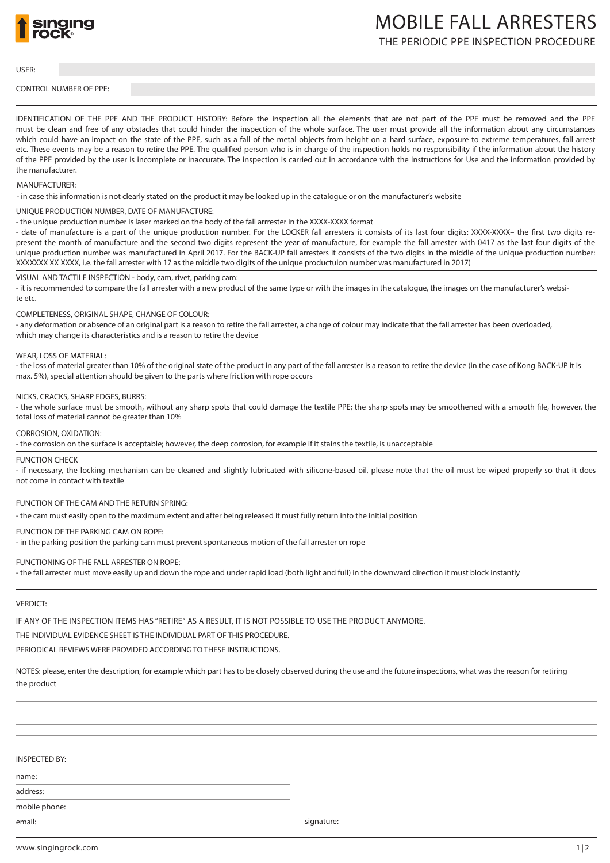

# MOBILE FALL ARRESTERS

THE PERIODIC PPE INSPECTION PROCEDURE

USER:

CONTROL NUMBER OF PPE:

IDENTIFICATION OF THE PPE AND THE PRODUCT HISTORY: Before the inspection all the elements that are not part of the PPE must be removed and the PPE must be clean and free of any obstacles that could hinder the inspection of the whole surface. The user must provide all the information about any circumstances which could have an impact on the state of the PPE, such as a fall of the metal objects from height on a hard surface, exposure to extreme temperatures, fall arrest etc. These events may be a reason to retire the PPE. The qualified person who is in charge of the inspection holds no responsibility if the information about the history of the PPE provided by the user is incomplete or inaccurate. The inspection is carried out in accordance with the Instructions for Use and the information provided by the manufacturer.

# MANUFACTURER:

- in case this information is not clearly stated on the product it may be looked up in the catalogue or on the manufacturer's website

#### UNIQUE PRODUCTION NUMBER, DATE OF MANUFACTURE:

- the unique production number is laser marked on the body of the fall arrrester in the XXXX-XXXX format

- date of manufacture is a part of the unique production number. For the LOCKER fall arresters it consists of its last four digits: XXXX-XXXX– the first two digits represent the month of manufacture and the second two digits represent the year of manufacture, for example the fall arrester with 0417 as the last four digits of the unique production number was manufactured in April 2017. For the BACK-UP fall arresters it consists of the two digits in the middle of the unique production number: XXXXXXX XX XXXX, i.e. the fall arrester with 17 as the middle two digits of the unique productuion number was manufactured in 2017)

# VISUAL AND TACTILE INSPECTION - body, cam, rivet, parking cam:

- it is recommended to compare the fall arrester with a new product of the same type or with the images in the catalogue, the images on the manufacturer's website etc.

#### COMPLETENESS, ORIGINAL SHAPE, CHANGE OF COLOUR:

- any deformation or absence of an original part is a reason to retire the fall arrester, a change of colour may indicate that the fall arrester has been overloaded, which may change its characteristics and is a reason to retire the device

#### WEAR, LOSS OF MATERIAL:

- the loss of material greater than 10% of the original state of the product in any part of the fall arrester is a reason to retire the device (in the case of Kong BACK-UP it is max. 5%), special attention should be given to the parts where friction with rope occurs

#### NICKS, CRACKS, SHARP EDGES, BURRS:

- the whole surface must be smooth, without any sharp spots that could damage the textile PPE; the sharp spots may be smoothened with a smooth file, however, the total loss of material cannot be greater than 10% Ĩ

CORROSION, OXIDATION:

- the corrosion on the surface is acceptable; however, the deep corrosion, for example if it stains the textile, is unacceptable

#### FUNCTION CHECK

- if necessary, the locking mechanism can be cleaned and slightly lubricated with silicone-based oil, please note that the oil must be wiped properly so that it does not come in contact with textile

# FUNCTION OF THE CAM AND THE RETURN SPRING:

- the cam must easily open to the maximum extent and after being released it must fully return into the initial position

# FUNCTION OF THE PARKING CAM ON ROPE:

- in the parking position the parking cam must prevent spontaneous motion of the fall arrester on rope

# FUNCTIONING OF THE FALL ARRESTER ON ROPE:

- the fall arrester must move easily up and down the rope and under rapid load (both light and full) in the downward direction it must block instantly

# VERDICT:

IF ANY OF THE INSPECTION ITEMS HAS "RETIRE" AS A RESULT, IT IS NOT POSSIBLE TO USE THE PRODUCT ANYMORE.

THE INDIVIDUAL EVIDENCE SHEET IS THE INDIVIDUAL PART OF THIS PROCEDURE.

PERIODICAL REVIEWS WERE PROVIDED ACCORDING TO THESE INSTRUCTIONS.

NOTES: please, enter the description, for example which part has to be closely observed during the use and the future inspections, what was the reason for retiring the product

# INSPECTED BY:

name:

address: mobile phone:

email: signature: signature: signature: signature: signature: signature: signature: signature: signature: signature:  $\mathcal{S}$